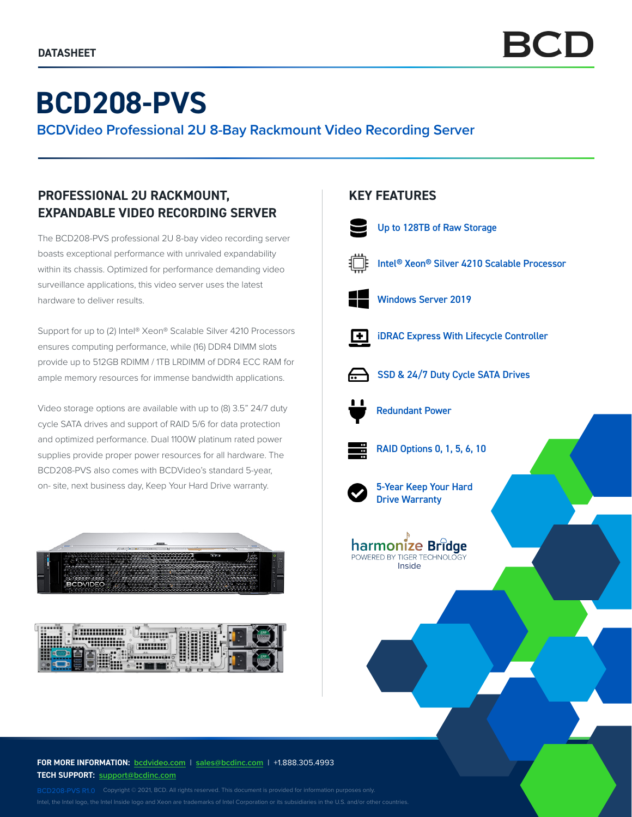# **BCD208-PVS**

**BCDVideo Professional 2U 8-Bay Rackmount Video Recording Server**

# **PROFESSIONAL 2U RACKMOUNT, EXPANDABLE VIDEO RECORDING SERVER**

The BCD208-PVS professional 2U 8-bay video recording server boasts exceptional performance with unrivaled expandability within its chassis. Optimized for performance demanding video surveillance applications, this video server uses the latest hardware to deliver results.

Support for up to (2) Intel® Xeon® Scalable Silver 4210 Processors ensures computing performance, while (16) DDR4 DIMM slots provide up to 512GB RDIMM / 1TB LRDIMM of DDR4 ECC RAM for ample memory resources for immense bandwidth applications.

Video storage options are available with up to (8) 3.5" 24/7 duty cycle SATA drives and support of RAID 5/6 for data protection and optimized performance. Dual 1100W platinum rated power supplies provide proper power resources for all hardware. The BCD208-PVS also comes with BCDVideo's standard 5-year, on- site, next business day, Keep Your Hard Drive warranty.





#### **FOR MORE INFORMATION: bcdvideo.com** | **[sales@bcdinc.com](mailto:sales%40bcdinc.com?subject=)** | +1.888.305.4993 **TECH SUPPORT: [support@bcdinc.com](mailto:support%40bcdinc.com?subject=)**

Intel, the Intel logo, the Intel Inside logo and Xeon are trademarks of Intel Corporation or its subsidiaries in the U.S. and/or other countries.

## **KEY FEATURES**



Intel® Xeon® Silver 4210 Scalable Processor



iDRAC Express With Lifecycle Controller



 $\overline{+}$ 

SSD & 24/7 Duty Cycle SATA Drives



Redundant Power



RAID Options 0, 1, 5, 6, 10



5-Year Keep Your Hard Drive Warranty